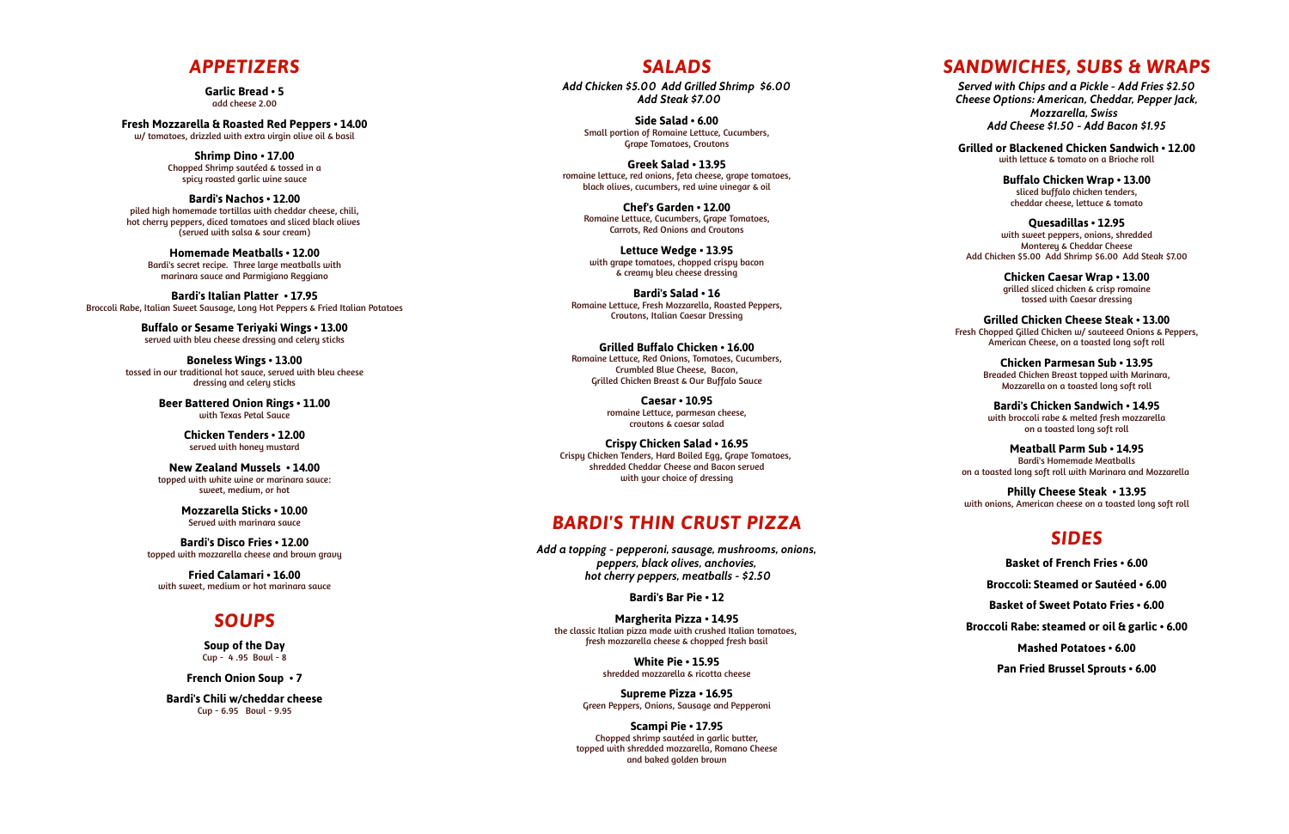#### *APPETIZERS*

**Garlic Bread • 5** add cheese 2.00

**Fresh Mozzarella & Roasted Red Peppers • 14.00** w/ tomatoes, drizzled with extra virgin olive oil & basil

> **Shrimp Dino • 17.00** Chopped Shrimp sautéed & tossed in a spicy roasted garlic wine sauc e

**Bardi's Nachos • 12.00** piled high homemade tortillas with cheddar cheese, chili, hot cherry peppers, diced tomatoes and sliced black olives (served with salsa & sour cream)

> **Chicken Tenders • 12.00** served with honey mustard

**Homemade Meatballs • 12.00** Ba rdi's secr et recipe. Three l a rge meatballs with marina ra sauce and P armigiano Reggiano

**Bardi's Disco Fries • 12.00** topped with mozzarella cheese and brown gravy

**Bardi's Italian Platter • 17.95** Broc coli Rabe, Italian Sweet Sausage, Long Hot Peppers & Fried Italian Potatoes

> **Buffalo or Sesame Teriyaki Wings • 13.00** served with bl eu cheese dressing and celery stick s

**Boneless Wings • 13.00** tossed in our traditional hot sauc e, served with bl eu cheese dressing and celery stick s

> **Beer Battered Onion Rings • 11.00** with Texas P e tal Sauc e

> **New Zealand Mussels • 14.00** topped with whi te wine or marina ra sauce: sweet, medium, or hot

> > **Mozzarella Sticks • 10.00** Served with marina ra sauc e

**Crispy Chicken Salad • 16.95** Crispy Chicken Tenders, Hard Boiled Egg, Grape Tomatoes, shredded Cheddar Cheese and Bacon served with your choice of dressing

*Add a topping - pepperoni, sausage, mushrooms, onions, peppers, bl ack olives, anchovies, hot cherry peppers, meatballs - \$2.50* 

**Fried Calamari • 16.00** with sweet, medium or hot marina ra sauc e

#### *SOUPS*

**Soup of the Day** Cup - 4 .95 Bowl - 8

**French Onion Soup • 7**

**Bardi's Chili w/cheddar cheese** Cup - 6.95 Bowl - 9.95

#### *SALADS*

*Add Chicken \$5.00 Add Gril led Shrimp \$6.00 Add Steak \$7.00*

> **Side Salad • 6.00** Small portion of Romaine L ettuc e, Cucumbers , G r ape Tomatoes, C routons

**Greek Salad • 13.95** romaine l ettuc e, red onions, fe ta cheese, g r ape tomatoes , black olives, cucumbers, red wine vinegar & oil

> **Chef's Garden • 12.00** Romaine Lettuce, Cucumbers, Grape Tomatoes, C arrots, Red Onions and C routons

**Lettuce Wedge • 13.95** with g r ape tomatoes, chopped crispy bacon & creamy bl eu cheese dressing

**Bardi's Salad • 16** Romaine L ettuc e, F resh M ozz a rella, Roasted Peppers , C routons, Italian Caesar Dressing

**Grilled Buffalo Chicken • 16.00** Romaine L ettuc e, Red Onions, Tomatoes, Cucumbers , Crumbled Blue Cheese, Bacon, Grilled Chicken Breast & Our Buffalo Sauc e

> **Caesar • 10.95** romaine L ettuc e, parmesan cheese , croutons & caesar salad

#### *BARDI'S THIN CRUST PIZZA*

**Bardi's Bar Pie • 12**

**Margherita Pizza • 14.95** the classic Italian pizza made with crushed Italian tomatoes, fresh mozzarella cheese & chopped fresh basil

> **White Pie • 15.95** shredded mozz a rella & ricotta cheese

**Supreme Pizza • 16.95** G reen Peppers, Onions, Sausage and Pepperoni

**Scampi Pie • 17.95** Chopped shrimp sautéed in garlic butter, topped with shredded mozzarella, Romano Cheese and baked golden brown

#### *SANDWICHES, SUBS & WRAPS*

*Served with Chips and a Pickle - Add Fries \$2.50 Cheese O ptions: American, Cheddar, Pepper J ack, M ozzarel la, Swiss Add Cheese \$1.50 - Add Ba con \$1.95*

**Grilled or Blackened Chicken Sandwich • 12.00** with l ettuce & tomato on a Brioche roll

> **Buffalo Chicken Wrap • 13.00** sliced buffalo chicken tenders , cheddar cheese, l ettuce & tomat o

**Quesadillas • 12.95** with sweet peppers, onions, shredded Monterey & Cheddar Cheese Add Chicken \$5.00 Add Shrimp \$6.00 Add S teak \$7.00

> **Chicken Caesar Wrap • 13.00** grilled sliced chicken & crisp romaine tossed with Caesar dressing

**Grilled Chicken Cheese Steak • 13.00** F resh Chopped Gilled Chicken w/ sauteeed Onions & Peppers , Americ an Cheese, on a toasted long soft roll

> **Chicken Parmesan Sub • 13.95** Breaded Chicken Breast topped with M arina ra, M ozz a rella on a toasted long soft roll

**Bardi's Chicken Sandwich • 14.95** with broccoli rabe & melted fresh mozzarella on a toasted long soft roll

**Meatball Parm Sub • 14.95** Ba rdi's Homemade Meatballs on a toasted long soft roll with M arina ra and M ozz a rella

**Philly Cheese Steak • 13.95** with onions, Americ an cheese on a toasted long soft roll

### *SIDES*

**Basket of French Fries • 6.00**

**Broccoli: Steamed or Sautéed • 6.00**

**Basket of Sweet Potato Fries • 6.00**

**Broccoli Rabe: steamed or oil & garlic • 6.00**

**Mashed Potatoes • 6.00**

**Pan Fried Brussel Sprouts • 6.00**